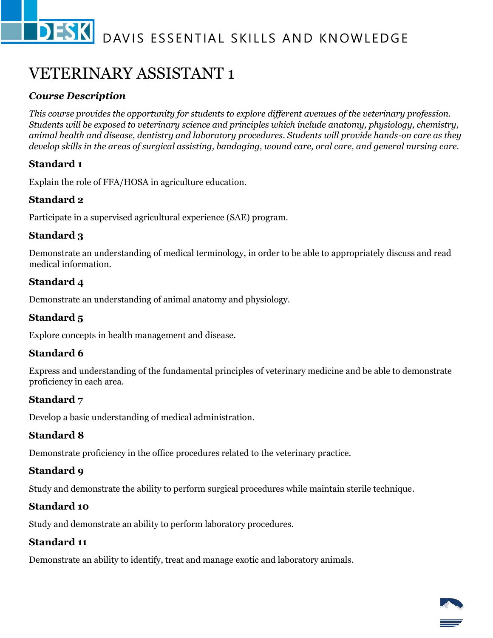# VETERINARY ASSISTANT 1

# *Course Description*

*This course provides the opportunity for students to explore different avenues of the veterinary profession. Students will be exposed to veterinary science and principles which include anatomy, physiology, chemistry, animal health and disease, dentistry and laboratory procedures. Students will provide hands-on care as they develop skills in the areas of surgical assisting, bandaging, wound care, oral care, and general nursing care.*

# **Standard 1**

Explain the role of FFA/HOSA in agriculture education.

#### **Standard 2**

Participate in a supervised agricultural experience (SAE) program.

#### **Standard 3**

Demonstrate an understanding of medical terminology, in order to be able to appropriately discuss and read medical information.

# **Standard 4**

Demonstrate an understanding of animal anatomy and physiology.

#### **Standard 5**

Explore concepts in health management and disease.

#### **Standard 6**

Express and understanding of the fundamental principles of veterinary medicine and be able to demonstrate proficiency in each area.

#### **Standard 7**

Develop a basic understanding of medical administration.

#### **Standard 8**

Demonstrate proficiency in the office procedures related to the veterinary practice.

#### **Standard 9**

Study and demonstrate the ability to perform surgical procedures while maintain sterile technique.

#### **Standard 10**

Study and demonstrate an ability to perform laboratory procedures.

#### **Standard 11**

Demonstrate an ability to identify, treat and manage exotic and laboratory animals.